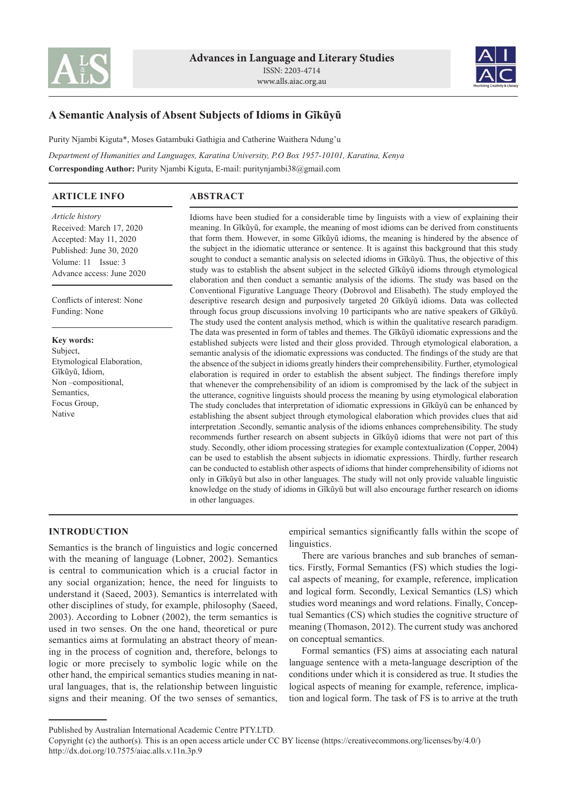



# **A Semantic Analysis of Absent Subjects of Idioms in Gĩkũyũ**

Purity Njambi Kiguta\*, Moses Gatambuki Gathigia and Catherine Waithera Ndung'u

*Department of Humanities and Languages, Karatina University, P.O Box 1957-10101, Karatina, Kenya* **Corresponding Author:** Purity Njambi Kiguta, E-mail: puritynjambi38@gmail.com

### **ARTICLE INFO**

# **ABSTRACT**

*Article history* Received: March 17, 2020 Accepted: May 11, 2020 Published: June 30, 2020 Volume: 11 Issue: 3 Advance access: June 2020

Conflicts of interest: None Funding: None

**Key words:** Subject, Etymological Elaboration, Gĩkũyũ, Idiom, Non –compositional, Semantics, Focus Group, Native

Idioms have been studied for a considerable time by linguists with a view of explaining their meaning. In Gĩkũyũ, for example, the meaning of most idioms can be derived from constituents that form them. However, in some Gĩkũyũ idioms, the meaning is hindered by the absence of the subject in the idiomatic utterance or sentence. It is against this background that this study sought to conduct a semantic analysis on selected idioms in Gĩkũyũ. Thus, the objective of this study was to establish the absent subject in the selected Gĩkũyũ idioms through etymological elaboration and then conduct a semantic analysis of the idioms. The study was based on the Conventional Figurative Language Theory (Dobrovol and Elisabeth). The study employed the descriptive research design and purposively targeted 20 Gĩkũyũ idioms. Data was collected through focus group discussions involving 10 participants who are native speakers of Gĩkũyũ. The study used the content analysis method, which is within the qualitative research paradigm. The data was presented in form of tables and themes. The Gĩkũyũ idiomatic expressions and the established subjects were listed and their gloss provided. Through etymological elaboration, a semantic analysis of the idiomatic expressions was conducted. The findings of the study are that the absence of the subject in idioms greatly hinders their comprehensibility. Further, etymological elaboration is required in order to establish the absent subject. The findings therefore imply that whenever the comprehensibility of an idiom is compromised by the lack of the subject in the utterance, cognitive linguists should process the meaning by using etymological elaboration The study concludes that interpretation of idiomatic expressions in Gĩkũyũ can be enhanced by establishing the absent subject through etymological elaboration which provides clues that aid interpretation .Secondly, semantic analysis of the idioms enhances comprehensibility. The study recommends further research on absent subjects in Gĩkũyũ idioms that were not part of this study. Secondly, other idiom processing strategies for example contextualization (Copper, 2004) can be used to establish the absent subjects in idiomatic expressions. Thirdly, further research can be conducted to establish other aspects of idioms that hinder comprehensibility of idioms not only in Gĩkũyũ but also in other languages. The study will not only provide valuable linguistic knowledge on the study of idioms in Gĩkũyũ but will also encourage further research on idioms in other languages.

### **INTRODUCTION**

Semantics is the branch of linguistics and logic concerned with the meaning of language (Lobner, 2002). Semantics is central to communication which is a crucial factor in any social organization; hence, the need for linguists to understand it (Saeed, 2003). Semantics is interrelated with other disciplines of study, for example, philosophy (Saeed, 2003). According to Lobner (2002), the term semantics is used in two senses. On the one hand, theoretical or pure semantics aims at formulating an abstract theory of meaning in the process of cognition and, therefore, belongs to logic or more precisely to symbolic logic while on the other hand, the empirical semantics studies meaning in natural languages, that is, the relationship between linguistic signs and their meaning. Of the two senses of semantics,

empirical semantics significantly falls within the scope of linguistics.

There are various branches and sub branches of semantics. Firstly, Formal Semantics (FS) which studies the logical aspects of meaning, for example, reference, implication and logical form. Secondly, Lexical Semantics (LS) which studies word meanings and word relations. Finally, Conceptual Semantics (CS) which studies the cognitive structure of meaning (Thomason, 2012). The current study was anchored on conceptual semantics.

Formal semantics (FS) aims at associating each natural language sentence with a meta-language description of the conditions under which it is considered as true. It studies the logical aspects of meaning for example, reference, implication and logical form. The task of FS is to arrive at the truth

Published by Australian International Academic Centre PTY.LTD.

Copyright (c) the author(s). This is an open access article under CC BY license (https://creativecommons.org/licenses/by/4.0/) http://dx.doi.org/10.7575/aiac.alls.v.11n.3p.9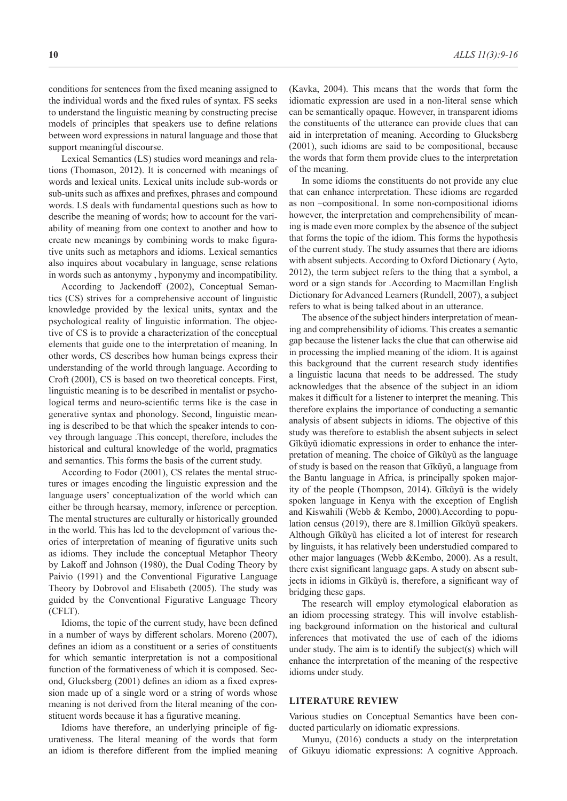conditions for sentences from the fixed meaning assigned to the individual words and the fixed rules of syntax. FS seeks to understand the linguistic meaning by constructing precise models of principles that speakers use to define relations between word expressions in natural language and those that support meaningful discourse.

Lexical Semantics (LS) studies word meanings and relations (Thomason, 2012). It is concerned with meanings of words and lexical units. Lexical units include sub-words or sub-units such as affixes and prefixes, phrases and compound words. LS deals with fundamental questions such as how to describe the meaning of words; how to account for the variability of meaning from one context to another and how to create new meanings by combining words to make figurative units such as metaphors and idioms. Lexical semantics also inquires about vocabulary in language, sense relations in words such as antonymy , hyponymy and incompatibility.

According to Jackendoff (2002), Conceptual Semantics (CS) strives for a comprehensive account of linguistic knowledge provided by the lexical units, syntax and the psychological reality of linguistic information. The objective of CS is to provide a characterization of the conceptual elements that guide one to the interpretation of meaning. In other words, CS describes how human beings express their understanding of the world through language. According to Croft (200I), CS is based on two theoretical concepts. First, linguistic meaning is to be described in mentalist or psychological terms and neuro-scientific terms like is the case in generative syntax and phonology. Second, linguistic meaning is described to be that which the speaker intends to convey through language .This concept, therefore, includes the historical and cultural knowledge of the world, pragmatics and semantics. This forms the basis of the current study.

According to Fodor (2001), CS relates the mental structures or images encoding the linguistic expression and the language users' conceptualization of the world which can either be through hearsay, memory, inference or perception. The mental structures are culturally or historically grounded in the world. This has led to the development of various theories of interpretation of meaning of figurative units such as idioms. They include the conceptual Metaphor Theory by Lakoff and Johnson (1980), the Dual Coding Theory by Paivio (1991) and the Conventional Figurative Language Theory by Dobrovol and Elisabeth (2005). The study was guided by the Conventional Figurative Language Theory (CFLT).

Idioms, the topic of the current study, have been defined in a number of ways by different scholars. Moreno (2007), defines an idiom as a constituent or a series of constituents for which semantic interpretation is not a compositional function of the formativeness of which it is composed. Second, Glucksberg (2001) defines an idiom as a fixed expression made up of a single word or a string of words whose meaning is not derived from the literal meaning of the constituent words because it has a figurative meaning.

Idioms have therefore, an underlying principle of figurativeness. The literal meaning of the words that form an idiom is therefore different from the implied meaning (Kavka, 2004). This means that the words that form the idiomatic expression are used in a non-literal sense which can be semantically opaque. However, in transparent idioms the constituents of the utterance can provide clues that can aid in interpretation of meaning. According to Glucksberg (2001), such idioms are said to be compositional, because the words that form them provide clues to the interpretation of the meaning.

In some idioms the constituents do not provide any clue that can enhance interpretation. These idioms are regarded as non –compositional. In some non-compositional idioms however, the interpretation and comprehensibility of meaning is made even more complex by the absence of the subject that forms the topic of the idiom. This forms the hypothesis of the current study. The study assumes that there are idioms with absent subjects. According to Oxford Dictionary ( Ayto, 2012), the term subject refers to the thing that a symbol, a word or a sign stands for .According to Macmillan English Dictionary for Advanced Learners (Rundell, 2007), a subject refers to what is being talked about in an utterance.

The absence of the subject hinders interpretation of meaning and comprehensibility of idioms. This creates a semantic gap because the listener lacks the clue that can otherwise aid in processing the implied meaning of the idiom. It is against this background that the current research study identifies a linguistic lacuna that needs to be addressed. The study acknowledges that the absence of the subject in an idiom makes it difficult for a listener to interpret the meaning. This therefore explains the importance of conducting a semantic analysis of absent subjects in idioms. The objective of this study was therefore to establish the absent subjects in select Gĩkũyũ idiomatic expressions in order to enhance the interpretation of meaning. The choice of Gĩkũyũ as the language of study is based on the reason that Gĩkũyũ, a language from the Bantu language in Africa, is principally spoken majority of the people (Thompson, 2014). Gĩkũyũ is the widely spoken language in Kenya with the exception of English and Kiswahili (Webb & Kembo, 2000).According to population census (2019), there are 8.1million Gĩkũyũ speakers. Although Gĩkũyũ has elicited a lot of interest for research by linguists, it has relatively been understudied compared to other major languages (Webb &Kembo, 2000). As a result, there exist significant language gaps. A study on absent subjects in idioms in Gĩkũyũ is, therefore, a significant way of bridging these gaps.

The research will employ etymological elaboration as an idiom processing strategy. This will involve establishing background information on the historical and cultural inferences that motivated the use of each of the idioms under study. The aim is to identify the subject(s) which will enhance the interpretation of the meaning of the respective idioms under study.

#### **LITERATURE REVIEW**

Various studies on Conceptual Semantics have been conducted particularly on idiomatic expressions.

Munyu, (2016) conducts a study on the interpretation of Gikuyu idiomatic expressions: A cognitive Approach.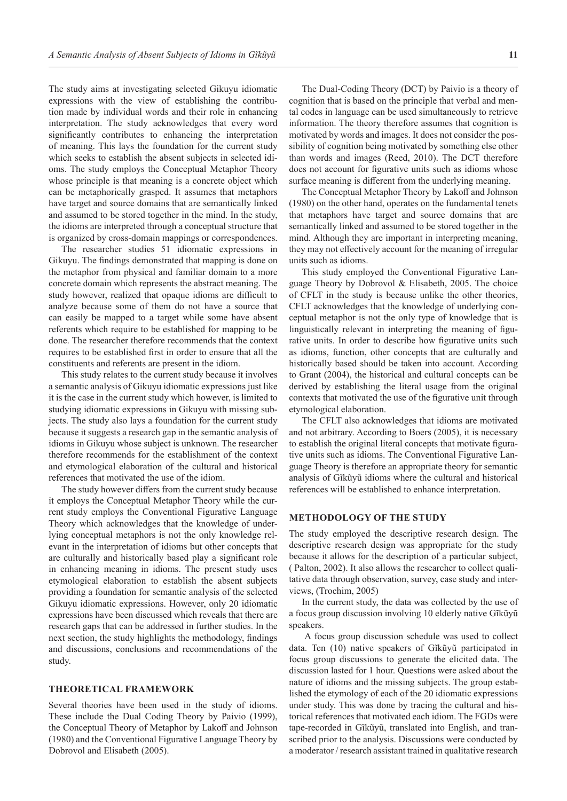The study aims at investigating selected Gikuyu idiomatic expressions with the view of establishing the contribution made by individual words and their role in enhancing interpretation. The study acknowledges that every word significantly contributes to enhancing the interpretation of meaning. This lays the foundation for the current study which seeks to establish the absent subjects in selected idioms. The study employs the Conceptual Metaphor Theory whose principle is that meaning is a concrete object which can be metaphorically grasped. It assumes that metaphors have target and source domains that are semantically linked and assumed to be stored together in the mind. In the study, the idioms are interpreted through a conceptual structure that is organized by cross-domain mappings or correspondences.

The researcher studies 51 idiomatic expressions in Gikuyu. The findings demonstrated that mapping is done on the metaphor from physical and familiar domain to a more concrete domain which represents the abstract meaning. The study however, realized that opaque idioms are difficult to analyze because some of them do not have a source that can easily be mapped to a target while some have absent referents which require to be established for mapping to be done. The researcher therefore recommends that the context requires to be established first in order to ensure that all the constituents and referents are present in the idiom.

This study relates to the current study because it involves a semantic analysis of Gikuyu idiomatic expressions just like it is the case in the current study which however, is limited to studying idiomatic expressions in Gikuyu with missing subjects. The study also lays a foundation for the current study because it suggests a research gap in the semantic analysis of idioms in Gikuyu whose subject is unknown. The researcher therefore recommends for the establishment of the context and etymological elaboration of the cultural and historical references that motivated the use of the idiom.

The study however differs from the current study because it employs the Conceptual Metaphor Theory while the current study employs the Conventional Figurative Language Theory which acknowledges that the knowledge of underlying conceptual metaphors is not the only knowledge relevant in the interpretation of idioms but other concepts that are culturally and historically based play a significant role in enhancing meaning in idioms. The present study uses etymological elaboration to establish the absent subjects providing a foundation for semantic analysis of the selected Gikuyu idiomatic expressions. However, only 20 idiomatic expressions have been discussed which reveals that there are research gaps that can be addressed in further studies. In the next section, the study highlights the methodology, findings and discussions, conclusions and recommendations of the study.

#### **THEORETICAL FRAMEWORK**

Several theories have been used in the study of idioms. These include the Dual Coding Theory by Paivio (1999), the Conceptual Theory of Metaphor by Lakoff and Johnson (1980) and the Conventional Figurative Language Theory by Dobrovol and Elisabeth (2005).

The Dual-Coding Theory (DCT) by Paivio is a theory of cognition that is based on the principle that verbal and mental codes in language can be used simultaneously to retrieve information. The theory therefore assumes that cognition is motivated by words and images. It does not consider the possibility of cognition being motivated by something else other than words and images (Reed, 2010). The DCT therefore does not account for figurative units such as idioms whose surface meaning is different from the underlying meaning.

The Conceptual Metaphor Theory by Lakoff and Johnson (1980) on the other hand, operates on the fundamental tenets that metaphors have target and source domains that are semantically linked and assumed to be stored together in the mind. Although they are important in interpreting meaning, they may not effectively account for the meaning of irregular units such as idioms.

This study employed the Conventional Figurative Language Theory by Dobrovol & Elisabeth, 2005. The choice of CFLT in the study is because unlike the other theories, CFLT acknowledges that the knowledge of underlying conceptual metaphor is not the only type of knowledge that is linguistically relevant in interpreting the meaning of figurative units. In order to describe how figurative units such as idioms, function, other concepts that are culturally and historically based should be taken into account. According to Grant (2004), the historical and cultural concepts can be derived by establishing the literal usage from the original contexts that motivated the use of the figurative unit through etymological elaboration.

The CFLT also acknowledges that idioms are motivated and not arbitrary. According to Boers (2005), it is necessary to establish the original literal concepts that motivate figurative units such as idioms. The Conventional Figurative Language Theory is therefore an appropriate theory for semantic analysis of Gĩkũyũ idioms where the cultural and historical references will be established to enhance interpretation.

#### **METHODOLOGY OF THE STUDY**

The study employed the descriptive research design. The descriptive research design was appropriate for the study because it allows for the description of a particular subject, ( Palton, 2002). It also allows the researcher to collect qualitative data through observation, survey, case study and interviews, (Trochim, 2005)

In the current study, the data was collected by the use of a focus group discussion involving 10 elderly native Gĩkũyũ speakers.

 A focus group discussion schedule was used to collect data. Ten (10) native speakers of Gĩkũyũ participated in focus group discussions to generate the elicited data. The discussion lasted for 1 hour. Questions were asked about the nature of idioms and the missing subjects. The group established the etymology of each of the 20 idiomatic expressions under study. This was done by tracing the cultural and historical references that motivated each idiom. The FGDs were tape-recorded in Gĩkũyũ, translated into English, and transcribed prior to the analysis. Discussions were conducted by a moderator / research assistant trained in qualitative research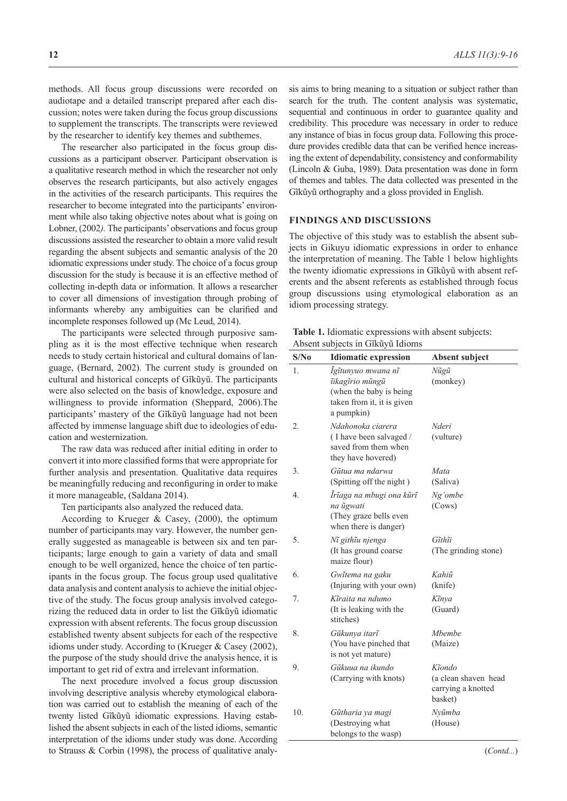methods. All focus group discussions were recorded on audiotape and a detailed transcript prepared after each discussion; notes were taken during the focus group discussions to supplement the transcripts. The transcripts were reviewed by the researcher to identify key themes and subthemes.

The researcher also participated in the focus group discussions as a participant observer. Participant observation is a qualitative research method in which the researcher not only observes the research participants, but also actively engages in the activities of the research participants. This requires the researcher to become integrated into the participants' environment while also taking objective notes about what is going on Lobner, (2002*).* The participants' observations and focus group discussions assisted the researcher to obtain a more valid result regarding the absent subjects and semantic analysis of the 20 idiomatic expressions under study. The choice of a focus group discussion for the study is because it is an effective method of collecting in-depth data or information. It allows a researcher to cover all dimensions of investigation through probing of informants whereby any ambiguities can be clarified and incomplete responses followed up (Mc Leud, 2014).

The participants were selected through purposive sampling as it is the most effective technique when research needs to study certain historical and cultural domains of language, (Bernard, 2002). The current study is grounded on cultural and historical concepts of Gĩkũyũ. The participants were also selected on the basis of knowledge, exposure and willingness to provide information (Sheppard, 2006).The participants' mastery of the Gĩkũyũ language had not been affected by immense language shift due to ideologies of education and westernization.

The raw data was reduced after initial editing in order to convert it into more classified forms that were appropriate for further analysis and presentation. Qualitative data requires be meaningfully reducing and reconfiguring in order to make it more manageable, (Saldana 2014).

Ten participants also analyzed the reduced data.

According to Krueger & Casey, (2000), the optimum number of participants may vary. However, the number generally suggested as manageable is between six and ten participants; large enough to gain a variety of data and small enough to be well organized, hence the choice of ten participants in the focus group. The focus group used qualitative data analysis and content analysis to achieve the initial objective of the study. The focus group analysis involved categorizing the reduced data in order to list the Gĩkũyũ idiomatic expression with absent referents. The focus group discussion established twenty absent subjects for each of the respective idioms under study. According to (Krueger & Casey (2002), the purpose of the study should drive the analysis hence, it is important to get rid of extra and irrelevant information.

The next procedure involved a focus group discussion involving descriptive analysis whereby etymological elaboration was carried out to establish the meaning of each of the twenty listed Gĩkũyũ idiomatic expressions. Having established the absent subjects in each of the listed idioms, semantic interpretation of the idioms under study was done. According to Strauss & Corbin (1998), the process of qualitative analysis aims to bring meaning to a situation or subject rather than search for the truth. The content analysis was systematic, sequential and continuous in order to guarantee quality and credibility. This procedure was necessary in order to reduce any instance of bias in focus group data. Following this procedure provides credible data that can be verified hence increasing the extent of dependability, consistency and conformability (Lincoln & Guba, 1989). Data presentation was done in form of themes and tables. The data collected was presented in the Gĩkũyũ orthography and a gloss provided in English.

#### **FINDINGS AND DISCUSSIONS**

The objective of this study was to establish the absent subjects in Gikuyu idiomatic expressions in order to enhance the interpretation of meaning. The Table 1 below highlights the twenty idiomatic expressions in Gĩkũyũ with absent referents and the absent referents as established through focus group discussions using etymological elaboration as an idiom processing strategy.

| Table 1. Idiomatic expressions with absent subjects: |
|------------------------------------------------------|
| Absent subjects in Gîkuyu Idioms                     |

| S/No | <b>Idiomatic expression</b>                                                                                   | Absent subject                                                  |
|------|---------------------------------------------------------------------------------------------------------------|-----------------------------------------------------------------|
| 1.   | Ĩgĩtunyuo mwana nĩ<br>ĩikagĩrio mũngũ<br>(when the baby is being)<br>taken from it, it is given<br>a pumpkin) | Nũgũ<br>(monkey)                                                |
| 2.   | Ndahonoka ciarera<br>(I have been salvaged /<br>saved from them when<br>they have hovered)                    | Nderi<br>(vulture)                                              |
| 3.   | Gũtua ma ndarwa<br>(Spitting off the night)                                                                   | Mata<br>(Saliva)                                                |
| 4.   | Irîaga na mbugi ona kûrî<br>na <i>ũgwati</i><br>(They graze bells even<br>when there is danger)               | Ng'ombe<br>(Cows)                                               |
| 5.   | Nî githĩu njenga<br>(It has ground coarse)<br>maize flour)                                                    | Gĩthĩi<br>(The grinding stone)                                  |
| 6.   | Gwĩtema na gaku<br>(Injuring with your own)                                                                   | Kahiũ<br>(knife)                                                |
| 7.   | Kĩraita na ndumo<br>(It is leaking with the<br>stitches)                                                      | Kĩnya<br>(Guard)                                                |
| 8.   | Gũkunya itarĩ<br>(You have pinched that<br>is not yet mature)                                                 | Mbembe<br>(Maize)                                               |
| 9.   | Gũkuua na ikundo<br>(Carrying with knots)                                                                     | Kĩondo<br>(a clean shaven head<br>carrying a knotted<br>basket) |
| 10.  | Gũtharia ya magi<br>(Destroying what<br>belongs to the wasp)                                                  | Nyũmba<br>(House)                                               |

(*Contd...*)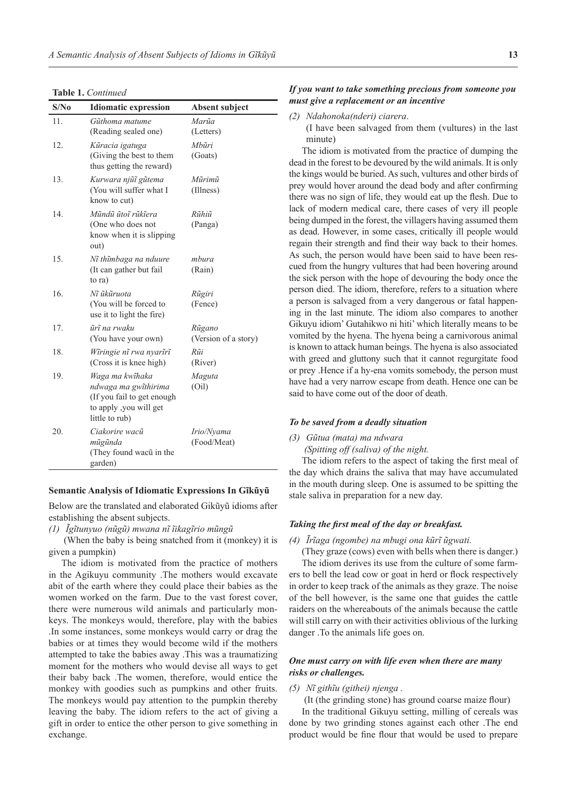**Table 1.** *Continued*

| S/N <sub>0</sub> | <b>Idiomatic expression</b>                                                                                       | <b>Absent subject</b>          |
|------------------|-------------------------------------------------------------------------------------------------------------------|--------------------------------|
| 11.              | Gũthoma matume<br>(Reading sealed one)                                                                            | Marũa<br>(Letters)             |
| 12.              | Kũracia igatuga<br>(Giving the best to them<br>thus getting the reward)                                           | Mhũri<br>(Goats)               |
| 13.              | Kurwara njũĩ gũtema<br>(You will suffer what I<br>know to cut)                                                    | Mũrimũ<br>(Illness)            |
| 14.              | Mũndũ ũtoĩ rũkĩera<br>(One who does not<br>know when it is slipping<br>out)                                       | Rũhiũ<br>(Panga)               |
| 15.              | Nĩ thĩmbaga na nduure<br>(It can gather but fail)<br>to ra)                                                       | mbura<br>(Rain)                |
| 16.              | Nî ûkûruota<br>(You will be forced to<br>use it to light the fire)                                                | Rũgiri<br>(Fence)              |
| 17.              | ũrĩ na rwaku<br>(You have your own)                                                                               | Rũgano<br>(Version of a story) |
| 18.              | Wîringie nî rwa nyarîrî<br>(Cross it is knee high)                                                                | Rũi<br>(River)                 |
| 19.              | Waga ma kwĩhaka<br>ndwaga ma gwĩthirima<br>(If you fail to get enough<br>to apply, you will get<br>little to rub) | Maguta<br>(Oil)                |
| 20.              | Ciakorire wacũ<br>mũgũnda<br>(They found wacũ in the<br>garden)                                                   | Irio/Nyama<br>(Food/Meat)      |

#### **Semantic Analysis of Idiomatic Expressions In Gĩkũyũ**

Below are the translated and elaborated Gikũyũ idioms after establishing the absent subjects.

*(1) Ĩgĩtunyuo (nũgũ) mwana nĩ ĩikagĩrio mũngũ*

(When the baby is being snatched from it (monkey) it is given a pumpkin)

The idiom is motivated from the practice of mothers in the Agikuyu community .The mothers would excavate abit of the earth where they could place their babies as the women worked on the farm. Due to the vast forest cover, there were numerous wild animals and particularly monkeys. The monkeys would, therefore, play with the babies .In some instances, some monkeys would carry or drag the babies or at times they would become wild if the mothers attempted to take the babies away .This was a traumatizing moment for the mothers who would devise all ways to get their baby back .The women, therefore, would entice the monkey with goodies such as pumpkins and other fruits. The monkeys would pay attention to the pumpkin thereby leaving the baby. The idiom refers to the act of giving a gift in order to entice the other person to give something in exchange.

# *If you want to take something precious from someone you must give a replacement or an incentive*

*(2) Ndahonoka(nderi) ciarera*.

(I have been salvaged from them (vultures) in the last minute)

The idiom is motivated from the practice of dumping the dead in the forest to be devoured by the wild animals. It is only the kings would be buried. As such, vultures and other birds of prey would hover around the dead body and after confirming there was no sign of life, they would eat up the flesh. Due to lack of modern medical care, there cases of very ill people being dumped in the forest, the villagers having assumed them as dead. However, in some cases, critically ill people would regain their strength and find their way back to their homes. As such, the person would have been said to have been rescued from the hungry vultures that had been hovering around the sick person with the hope of devouring the body once the person died. The idiom, therefore, refers to a situation where a person is salvaged from a very dangerous or fatal happening in the last minute. The idiom also compares to another Gikuyu idiom' Gutahikwo ni hiti' which literally means to be vomited by the hyena. The hyena being a carnivorous animal is known to attack human beings. The hyena is also associated with greed and gluttony such that it cannot regurgitate food or prey .Hence if a hy-ena vomits somebody, the person must have had a very narrow escape from death. Hence one can be said to have come out of the door of death.

### *To be saved from a deadly situation*

*(3) Gũtua (mata) ma ndwara*

 *(Spitting off (saliva) of the night.*

The idiom refers to the aspect of taking the first meal of the day which drains the saliva that may have accumulated in the mouth during sleep. One is assumed to be spitting the stale saliva in preparation for a new day.

#### *Taking the first meal of the day or breakfast.*

*(4) Ĩrĩaga (ngombe) na mbugi ona kũrĩ ũgwati.*

(They graze (cows) even with bells when there is danger.) The idiom derives its use from the culture of some farmers to bell the lead cow or goat in herd or flock respectively in order to keep track of the animals as they graze. The noise of the bell however, is the same one that guides the cattle raiders on the whereabouts of the animals because the cattle will still carry on with their activities oblivious of the lurking danger .To the animals life goes on.

# *One must carry on with life even when there are many risks or challenges.*

### *(5) Nĩ githĩu (githei) njenga .*

 (It (the grinding stone) has ground coarse maize flour) In the traditional Gikuyu setting, milling of cereals was done by two grinding stones against each other .The end product would be fine flour that would be used to prepare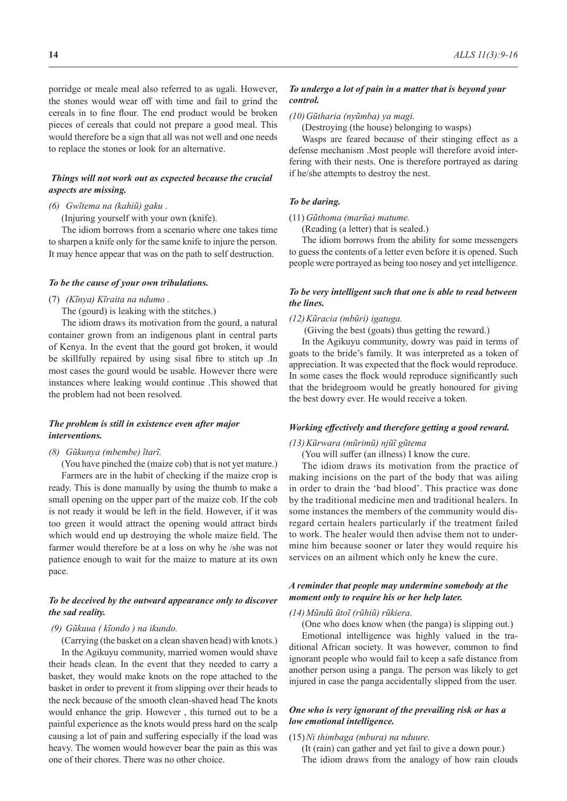porridge or meale meal also referred to as ugali. However, the stones would wear off with time and fail to grind the cereals in to fine flour. The end product would be broken pieces of cereals that could not prepare a good meal. This would therefore be a sign that all was not well and one needs to replace the stones or look for an alternative.

# *Things will not work out as expected because the crucial aspects are missing.*

#### *(6) Gwĩtema na (kahiũ) gaku* .

(Injuring yourself with your own (knife).

The idiom borrows from a scenario where one takes time to sharpen a knife only for the same knife to injure the person. It may hence appear that was on the path to self destruction.

#### *To be the cause of your own tribulations.*

(7) *(Kĩnya) Kĩraita na ndumo .*

The (gourd) is leaking with the stitches.)

The idiom draws its motivation from the gourd, a natural container grown from an indigenous plant in central parts of Kenya. In the event that the gourd got broken, it would be skillfully repaired by using sisal fibre to stitch up .In most cases the gourd would be usable. However there were instances where leaking would continue .This showed that the problem had not been resolved.

### *The problem is still in existence even after major interventions.*

*(8) Gũkunya (mbembe) ĩtarĩ.*

(You have pinched the (maize cob) that is not yet mature.) Farmers are in the habit of checking if the maize crop is ready. This is done manually by using the thumb to make a small opening on the upper part of the maize cob. If the cob is not ready it would be left in the field. However, if it was too green it would attract the opening would attract birds which would end up destroying the whole maize field. The farmer would therefore be at a loss on why he /she was not patience enough to wait for the maize to mature at its own pace.

# *To be deceived by the outward appearance only to discover the sad reality.*

### *(9) Gũkuua ( kĩondo ) na ikundo.*

(Carrying (the basket on a clean shaven head) with knots.)

In the Agikuyu community, married women would shave their heads clean. In the event that they needed to carry a basket, they would make knots on the rope attached to the basket in order to prevent it from slipping over their heads to the neck because of the smooth clean-shaved head The knots would enhance the grip. However , this turned out to be a painful experience as the knots would press hard on the scalp causing a lot of pain and suffering especially if the load was heavy. The women would however bear the pain as this was one of their chores. There was no other choice.

# *To undergo a lot of pain in a matter that is beyond your control.*

#### *(10)Gũtharia (nyũmba) ya magi.*

(Destroying (the house) belonging to wasps)

Wasps are feared because of their stinging effect as a defense mechanism .Most people will therefore avoid interfering with their nests. One is therefore portrayed as daring if he/she attempts to destroy the nest.

### *To be daring.*

#### (11) *Gũthoma (marũa) matume.*

(Reading (a letter) that is sealed.)

The idiom borrows from the ability for some messengers to guess the contents of a letter even before it is opened. Such people were portrayed as being too nosey and yet intelligence.

### *To be very intelligent such that one is able to read between the lines.*

#### *(12)Kũracia (mbũri) igatuga.*

(Giving the best (goats) thus getting the reward.)

In the Agikuyu community, dowry was paid in terms of goats to the bride's family. It was interpreted as a token of appreciation. It was expected that the flock would reproduce. In some cases the flock would reproduce significantly such that the bridegroom would be greatly honoured for giving the best dowry ever. He would receive a token.

#### *Working effectively and therefore getting a good reward.*

### *(13)Kũrwara (mũrimũ) njũĩ gũtema*

(You will suffer (an illness) I know the cure.

The idiom draws its motivation from the practice of making incisions on the part of the body that was ailing in order to drain the 'bad blood'. This practice was done by the traditional medicine men and traditional healers. In some instances the members of the community would disregard certain healers particularly if the treatment failed to work. The healer would then advise them not to undermine him because sooner or later they would require his services on an ailment which only he knew the cure.

# *A reminder that people may undermine somebody at the moment only to require his or her help later.*

#### *(14)Mũndũ ũtoĩ (rũhiũ) rũkiera.*

(One who does know when (the panga) is slipping out.)

Emotional intelligence was highly valued in the traditional African society. It was however, common to find ignorant people who would fail to keep a safe distance from another person using a panga. The person was likely to get injured in case the panga accidentally slipped from the user.

## *One who is very ignorant of the prevailing risk or has a low emotional intelligence.*

#### (15)*Ni thimbaga (mbura) na nduure.*

(It (rain) can gather and yet fail to give a down pour.) The idiom draws from the analogy of how rain clouds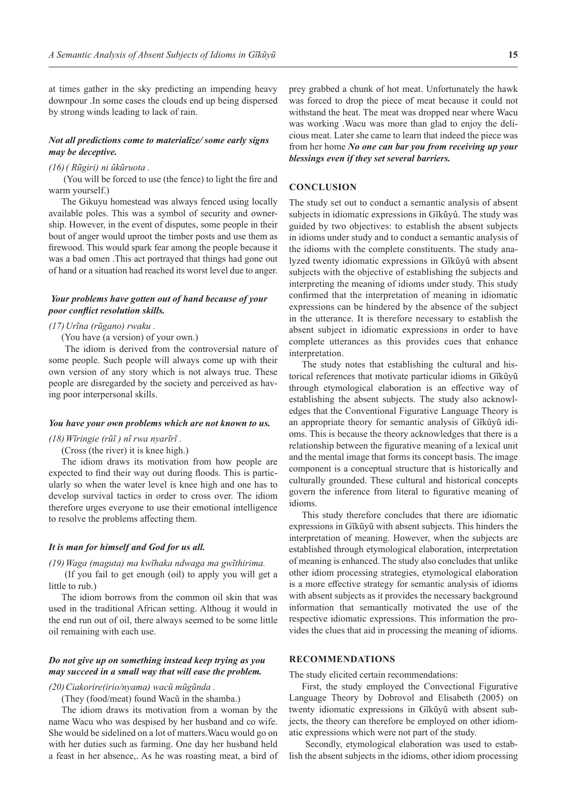at times gather in the sky predicting an impending heavy downpour .In some cases the clouds end up being dispersed by strong winds leading to lack of rain.

### *Not all predictions come to materialize/ some early signs may be deceptive.*

#### *(16)( Rũgiri) ni ũkũruota .*

(You will be forced to use (the fence) to light the fire and warm yourself.)

The Gikuyu homestead was always fenced using locally available poles. This was a symbol of security and ownership. However, in the event of disputes, some people in their bout of anger would uproot the timber posts and use them as firewood. This would spark fear among the people because it was a bad omen .This act portrayed that things had gone out of hand or a situation had reached its worst level due to anger.

### *Your problems have gotten out of hand because of your poor conflict resolution skills.*

#### *(17)Urĩna (rũgano) rwaku .*

(You have (a version) of your own.)

 The idiom is derived from the controversial nature of some people. Such people will always come up with their own version of any story which is not always true. These people are disregarded by the society and perceived as having poor interpersonal skills.

#### *You have your own problems which are not known to us.*

*(18)Wĩringie (rũĩ ) nĩ rwa nyarĩrĩ .*

(Cross (the river) it is knee high.)

The idiom draws its motivation from how people are expected to find their way out during floods. This is particularly so when the water level is knee high and one has to develop survival tactics in order to cross over. The idiom therefore urges everyone to use their emotional intelligence to resolve the problems affecting them.

### *It is man for himself and God for us all.*

#### *(19)Waga (maguta) ma kwĩhaka ndwaga ma gwĩthirima.*

 (If you fail to get enough (oil) to apply you will get a little to rub.)

The idiom borrows from the common oil skin that was used in the traditional African setting. Althoug it would in the end run out of oil, there always seemed to be some little oil remaining with each use.

# *Do not give up on something instead keep trying as you may succeed in a small way that will ease the problem.*

#### *(20)Ciakorire(irio/nyama) wacũ mũgũnda .*

(They (food/meat) found Wacũ in the shamba.)

The idiom draws its motivation from a woman by the name Wacu who was despised by her husband and co wife. She would be sidelined on a lot of matters.Wacu would go on with her duties such as farming. One day her husband held a feast in her absence,. As he was roasting meat, a bird of prey grabbed a chunk of hot meat. Unfortunately the hawk was forced to drop the piece of meat because it could not withstand the heat. The meat was dropped near where Wacu was working .Wacu was more than glad to enjoy the delicious meat. Later she came to learn that indeed the piece was from her home *No one can bar you from receiving up your blessings even if they set several barriers.* 

### **CONCLUSION**

The study set out to conduct a semantic analysis of absent subjects in idiomatic expressions in Gĩkũyû. The study was guided by two objectives: to establish the absent subjects in idioms under study and to conduct a semantic analysis of the idioms with the complete constituents. The study analyzed twenty idiomatic expressions in Gĩkũyũ with absent subjects with the objective of establishing the subjects and interpreting the meaning of idioms under study. This study confirmed that the interpretation of meaning in idiomatic expressions can be hindered by the absence of the subject in the utterance. It is therefore necessary to establish the absent subject in idiomatic expressions in order to have complete utterances as this provides cues that enhance interpretation.

The study notes that establishing the cultural and historical references that motivate particular idioms in Gĩkũyũ through etymological elaboration is an effective way of establishing the absent subjects. The study also acknowledges that the Conventional Figurative Language Theory is an appropriate theory for semantic analysis of Gĩkûyũ idioms. This is because the theory acknowledges that there is a relationship between the figurative meaning of a lexical unit and the mental image that forms its concept basis. The image component is a conceptual structure that is historically and culturally grounded. These cultural and historical concepts govern the inference from literal to figurative meaning of idioms.

This study therefore concludes that there are idiomatic expressions in Gĩkũyũ with absent subjects. This hinders the interpretation of meaning. However, when the subjects are established through etymological elaboration, interpretation of meaning is enhanced. The study also concludes that unlike other idiom processing strategies, etymological elaboration is a more effective strategy for semantic analysis of idioms with absent subjects as it provides the necessary background information that semantically motivated the use of the respective idiomatic expressions. This information the provides the clues that aid in processing the meaning of idioms.

### **RECOMMENDATIONS**

The study elicited certain recommendations:

First, the study employed the Convectional Figurative Language Theory by Dobrovol and Elisabeth (2005) on twenty idiomatic expressions in Gĩkũyũ with absent subjects, the theory can therefore be employed on other idiomatic expressions which were not part of the study.

 Secondly, etymological elaboration was used to establish the absent subjects in the idioms, other idiom processing